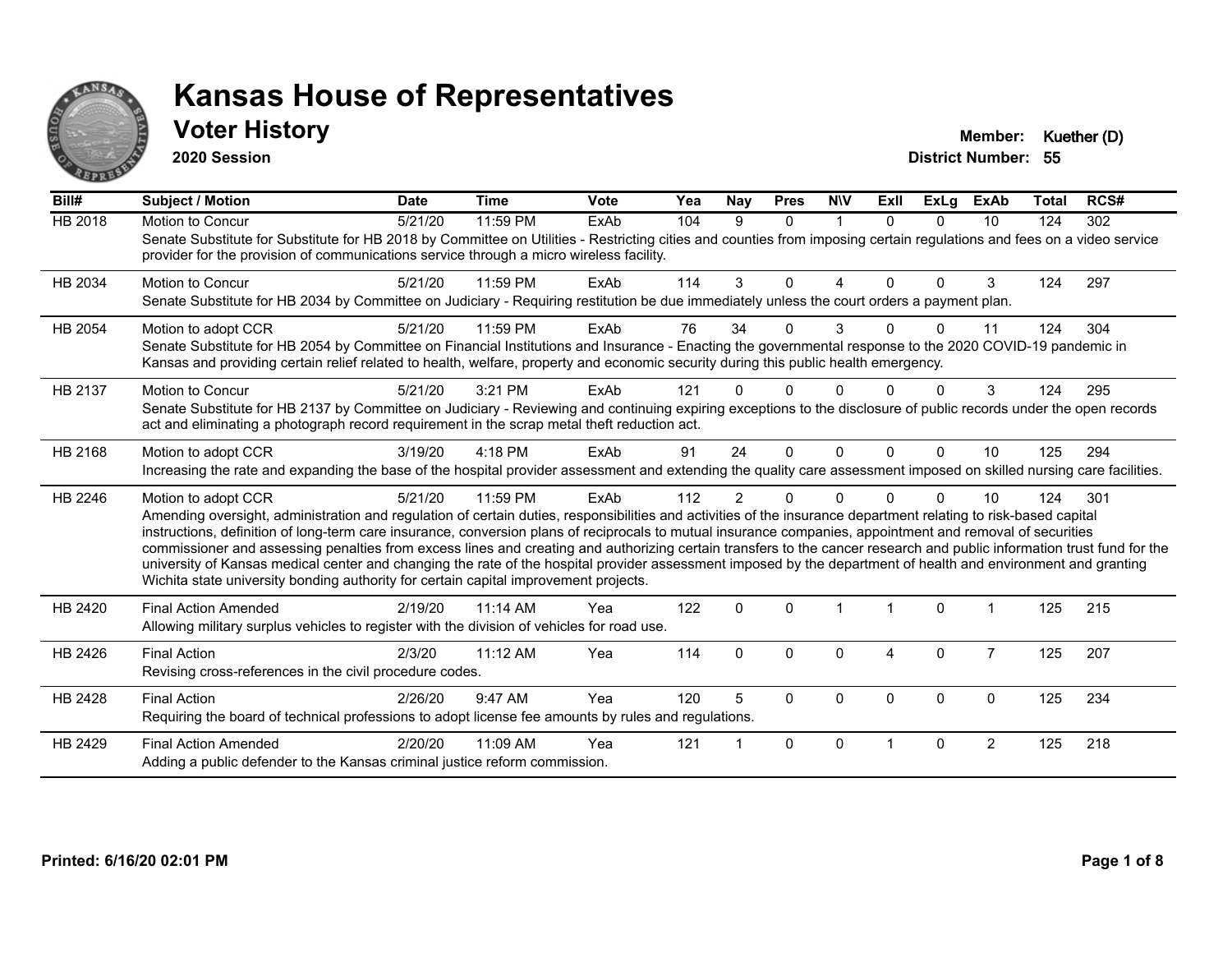

#### **Voter History Member: Kuether (D)**

**2020 Session**

| Bill#          | <b>Subject / Motion</b>                                                                                                                                                                                                                                                                                                                                                                                                                                                                                                                                                                                                                                                                                                                                                                  | <b>Date</b> | <b>Time</b> | <b>Vote</b> | Yea | Nay            | <b>Pres</b>  | <b>NIV</b> | Exll     | <b>ExLg</b> | <b>ExAb</b>    | <b>Total</b> | RCS# |
|----------------|------------------------------------------------------------------------------------------------------------------------------------------------------------------------------------------------------------------------------------------------------------------------------------------------------------------------------------------------------------------------------------------------------------------------------------------------------------------------------------------------------------------------------------------------------------------------------------------------------------------------------------------------------------------------------------------------------------------------------------------------------------------------------------------|-------------|-------------|-------------|-----|----------------|--------------|------------|----------|-------------|----------------|--------------|------|
| <b>HB 2018</b> | Motion to Concur<br>Senate Substitute for Substitute for HB 2018 by Committee on Utilities - Restricting cities and counties from imposing certain regulations and fees on a video service<br>provider for the provision of communications service through a micro wireless facility.                                                                                                                                                                                                                                                                                                                                                                                                                                                                                                    | 5/21/20     | 11:59 PM    | ExAb        | 104 | 9              | $\mathbf{0}$ | 1          | $\Omega$ | $\Omega$    | 10             | 124          | 302  |
| HB 2034        | <b>Motion to Concur</b><br>Senate Substitute for HB 2034 by Committee on Judiciary - Requiring restitution be due immediately unless the court orders a payment plan.                                                                                                                                                                                                                                                                                                                                                                                                                                                                                                                                                                                                                    | 5/21/20     | 11:59 PM    | ExAb        | 114 | 3              | $\Omega$     | 4          | $\Omega$ | $\Omega$    | 3              | 124          | 297  |
| HB 2054        | Motion to adopt CCR<br>Senate Substitute for HB 2054 by Committee on Financial Institutions and Insurance - Enacting the governmental response to the 2020 COVID-19 pandemic in<br>Kansas and providing certain relief related to health, welfare, property and economic security during this public health emergency.                                                                                                                                                                                                                                                                                                                                                                                                                                                                   | 5/21/20     | 11:59 PM    | ExAb        | 76  | 34             | $\Omega$     | 3          |          | 0           | 11             | 124          | 304  |
| HB 2137        | <b>Motion to Concur</b><br>Senate Substitute for HB 2137 by Committee on Judiciary - Reviewing and continuing expiring exceptions to the disclosure of public records under the open records<br>act and eliminating a photograph record requirement in the scrap metal theft reduction act.                                                                                                                                                                                                                                                                                                                                                                                                                                                                                              | 5/21/20     | 3:21 PM     | ExAb        | 121 |                | 0            | U          |          | $\Omega$    | 3              | 124          | 295  |
| HB 2168        | Motion to adopt CCR<br>Increasing the rate and expanding the base of the hospital provider assessment and extending the quality care assessment imposed on skilled nursing care facilities.                                                                                                                                                                                                                                                                                                                                                                                                                                                                                                                                                                                              | 3/19/20     | $4:18$ PM   | <b>FxAb</b> | 91  | 24             | $\Omega$     | $\Omega$   | $\Omega$ | $\Omega$    | 10             | 125          | 294  |
| HB 2246        | Motion to adopt CCR<br>Amending oversight, administration and regulation of certain duties, responsibilities and activities of the insurance department relating to risk-based capital<br>instructions, definition of long-term care insurance, conversion plans of reciprocals to mutual insurance companies, appointment and removal of securities<br>commissioner and assessing penalties from excess lines and creating and authorizing certain transfers to the cancer research and public information trust fund for the<br>university of Kansas medical center and changing the rate of the hospital provider assessment imposed by the department of health and environment and granting<br>Wichita state university bonding authority for certain capital improvement projects. | 5/21/20     | 11:59 PM    | ExAb        | 112 | $\overline{2}$ | $\Omega$     | $\Omega$   |          | $\Omega$    | 10             | 124          | 301  |
| HB 2420        | <b>Final Action Amended</b><br>Allowing military surplus vehicles to register with the division of vehicles for road use.                                                                                                                                                                                                                                                                                                                                                                                                                                                                                                                                                                                                                                                                | 2/19/20     | 11:14 AM    | Yea         | 122 | $\mathbf 0$    | $\Omega$     |            |          | $\mathbf 0$ |                | 125          | 215  |
| HB 2426        | <b>Final Action</b><br>Revising cross-references in the civil procedure codes.                                                                                                                                                                                                                                                                                                                                                                                                                                                                                                                                                                                                                                                                                                           | 2/3/20      | $11:12$ AM  | Yea         | 114 | $\mathbf{0}$   | $\Omega$     | 0          | 4        | $\Omega$    | $\overline{7}$ | 125          | 207  |
| HB 2428        | <b>Final Action</b><br>Requiring the board of technical professions to adopt license fee amounts by rules and regulations.                                                                                                                                                                                                                                                                                                                                                                                                                                                                                                                                                                                                                                                               | 2/26/20     | 9:47 AM     | Yea         | 120 | 5              | $\Omega$     | $\Omega$   | $\Omega$ | $\Omega$    | $\mathbf{0}$   | 125          | 234  |
| HB 2429        | <b>Final Action Amended</b><br>Adding a public defender to the Kansas criminal justice reform commission.                                                                                                                                                                                                                                                                                                                                                                                                                                                                                                                                                                                                                                                                                | 2/20/20     | 11:09 AM    | Yea         | 121 |                | $\Omega$     | $\Omega$   |          | $\Omega$    | $\overline{2}$ | 125          | 218  |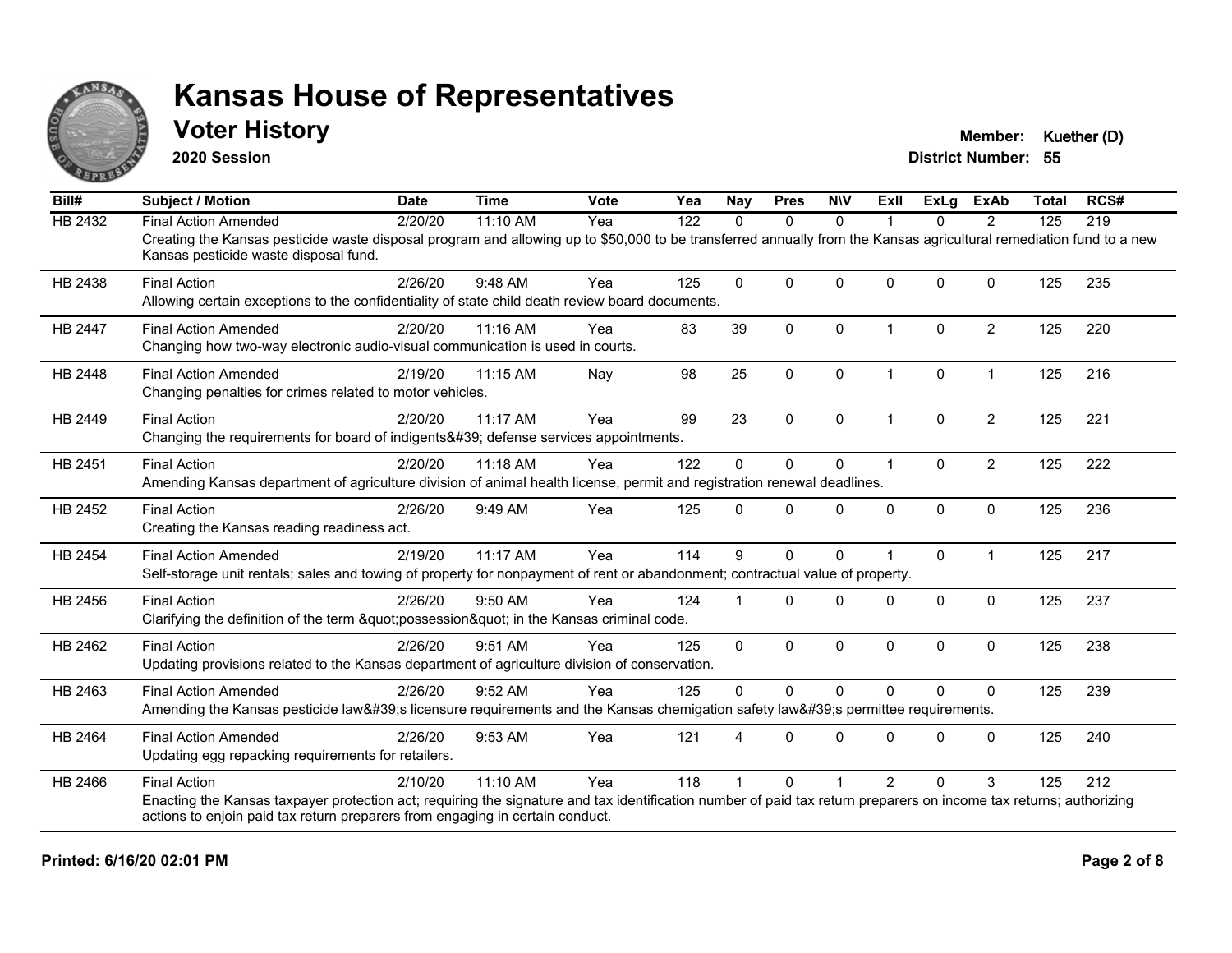

#### **Voter History Member: Kuether (D)**

**2020 Session**

| Bill#          | <b>Subject / Motion</b>                                                                                                                                                                                     | <b>Date</b> | <b>Time</b> | <b>Vote</b> | Yea | <b>Nay</b>   | <b>Pres</b>  | <b>NIV</b>   | Exll                 | <b>ExLg</b>  | <b>ExAb</b>    | <b>Total</b> | RCS# |
|----------------|-------------------------------------------------------------------------------------------------------------------------------------------------------------------------------------------------------------|-------------|-------------|-------------|-----|--------------|--------------|--------------|----------------------|--------------|----------------|--------------|------|
| HB 2432        | <b>Final Action Amended</b>                                                                                                                                                                                 | 2/20/20     | 11:10 AM    | Yea         | 122 | $\Omega$     | $\mathbf{0}$ | $\Omega$     |                      | $\Omega$     | 2              | 125          | 219  |
|                | Creating the Kansas pesticide waste disposal program and allowing up to \$50,000 to be transferred annually from the Kansas agricultural remediation fund to a new<br>Kansas pesticide waste disposal fund. |             |             |             |     |              |              |              |                      |              |                |              |      |
| HB 2438        | <b>Final Action</b>                                                                                                                                                                                         | 2/26/20     | 9:48 AM     | Yea         | 125 | $\Omega$     | $\mathbf{0}$ | $\Omega$     | $\Omega$             | $\Omega$     | $\Omega$       | 125          | 235  |
|                | Allowing certain exceptions to the confidentiality of state child death review board documents.                                                                                                             |             |             |             |     |              |              |              |                      |              |                |              |      |
| <b>HB 2447</b> | <b>Final Action Amended</b>                                                                                                                                                                                 | 2/20/20     | 11:16 AM    | Yea         | 83  | 39           | $\mathbf{0}$ | $\Omega$     | $\blacktriangleleft$ | $\Omega$     | $\overline{2}$ | 125          | 220  |
|                | Changing how two-way electronic audio-visual communication is used in courts.                                                                                                                               |             |             |             |     |              |              |              |                      |              |                |              |      |
| HB 2448        | <b>Final Action Amended</b>                                                                                                                                                                                 | 2/19/20     | 11:15 AM    | Nay         | 98  | 25           | 0            | $\mathbf 0$  | $\mathbf 1$          | 0            | $\mathbf{1}$   | 125          | 216  |
|                | Changing penalties for crimes related to motor vehicles.                                                                                                                                                    |             |             |             |     |              |              |              |                      |              |                |              |      |
| HB 2449        | <b>Final Action</b>                                                                                                                                                                                         | 2/20/20     | 11:17 AM    | Yea         | 99  | 23           | $\mathbf{0}$ | $\Omega$     | $\overline{1}$       | $\Omega$     | $\overline{2}$ | 125          | 221  |
|                | Changing the requirements for board of indigents' defense services appointments.                                                                                                                            |             |             |             |     |              |              |              |                      |              |                |              |      |
| HB 2451        | <b>Final Action</b>                                                                                                                                                                                         | 2/20/20     | 11:18 AM    | Yea         | 122 | $\Omega$     | $\mathbf 0$  | 0            | $\overline{1}$       | $\mathbf{0}$ | $\overline{2}$ | 125          | 222  |
|                | Amending Kansas department of agriculture division of animal health license, permit and registration renewal deadlines.                                                                                     |             |             |             |     |              |              |              |                      |              |                |              |      |
| HB 2452        | <b>Final Action</b>                                                                                                                                                                                         | 2/26/20     | 9:49 AM     | Yea         | 125 | $\Omega$     | $\mathbf{0}$ | $\Omega$     | $\Omega$             | $\mathbf 0$  | $\mathbf 0$    | 125          | 236  |
|                | Creating the Kansas reading readiness act.                                                                                                                                                                  |             |             |             |     |              |              |              |                      |              |                |              |      |
| HB 2454        | <b>Final Action Amended</b>                                                                                                                                                                                 | 2/19/20     | 11:17 AM    | Yea         | 114 | 9            | $\mathbf{0}$ | $\Omega$     |                      | $\Omega$     | $\mathbf{1}$   | 125          | 217  |
|                | Self-storage unit rentals; sales and towing of property for nonpayment of rent or abandonment; contractual value of property.                                                                               |             |             |             |     |              |              |              |                      |              |                |              |      |
| HB 2456        | <b>Final Action</b>                                                                                                                                                                                         | 2/26/20     | 9:50 AM     | Yea         | 124 |              | $\Omega$     | $\Omega$     | $\Omega$             | $\Omega$     | $\mathbf{0}$   | 125          | 237  |
|                | Clarifying the definition of the term "possession" in the Kansas criminal code.                                                                                                                             |             |             |             |     |              |              |              |                      |              |                |              |      |
| HB 2462        | <b>Final Action</b>                                                                                                                                                                                         | 2/26/20     | 9:51 AM     | Yea         | 125 | $\mathbf{0}$ | $\mathbf 0$  | $\Omega$     | $\mathbf{0}$         | $\Omega$     | $\mathbf 0$    | 125          | 238  |
|                | Updating provisions related to the Kansas department of agriculture division of conservation.                                                                                                               |             |             |             |     |              |              |              |                      |              |                |              |      |
| HB 2463        | <b>Final Action Amended</b>                                                                                                                                                                                 | 2/26/20     | 9:52 AM     | Yea         | 125 | $\mathbf{0}$ | $\mathbf{0}$ | $\mathbf{0}$ | $\Omega$             | $\Omega$     | $\mathbf{0}$   | 125          | 239  |
|                | Amending the Kansas pesticide law's licensure requirements and the Kansas chemigation safety law's permittee requirements.                                                                                  |             |             |             |     |              |              |              |                      |              |                |              |      |
| HB 2464        | <b>Final Action Amended</b>                                                                                                                                                                                 | 2/26/20     | 9:53 AM     | Yea         | 121 |              | $\Omega$     | $\Omega$     | $\Omega$             | $\Omega$     | $\Omega$       | 125          | 240  |
|                | Updating egg repacking requirements for retailers.                                                                                                                                                          |             |             |             |     |              |              |              |                      |              |                |              |      |
| HB 2466        | <b>Final Action</b>                                                                                                                                                                                         | 2/10/20     | 11:10 AM    | Yea         | 118 |              | $\Omega$     |              | $\overline{2}$       | $\Omega$     | 3              | 125          | 212  |
|                | Enacting the Kansas taxpayer protection act; requiring the signature and tax identification number of paid tax return preparers on income tax returns; authorizing                                          |             |             |             |     |              |              |              |                      |              |                |              |      |
|                | actions to enjoin paid tax return preparers from engaging in certain conduct.                                                                                                                               |             |             |             |     |              |              |              |                      |              |                |              |      |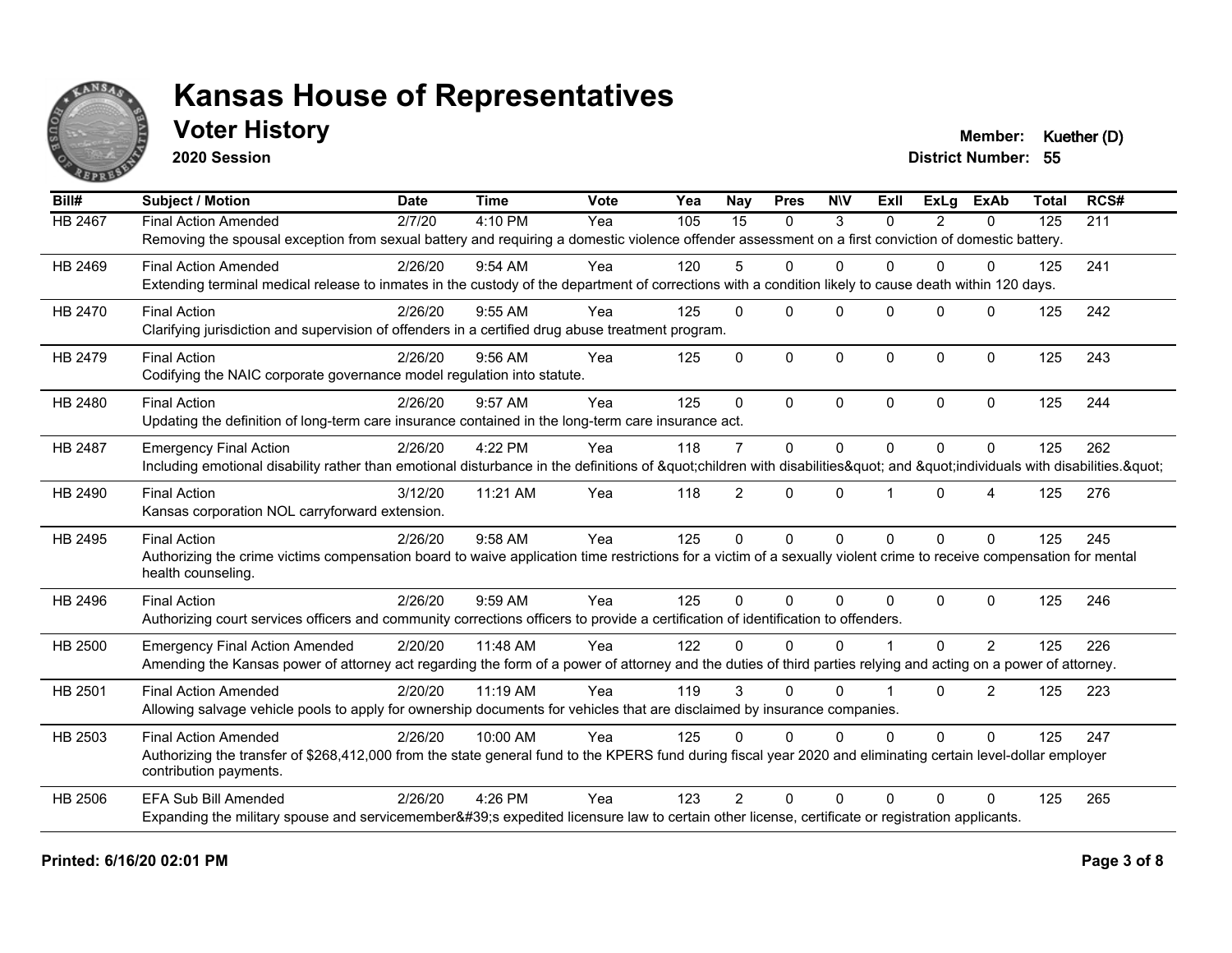

### **Voter History Member: Kuether (D)**

**2020 Session**

| Bill#          | <b>Subject / Motion</b>                                                                                                                                             | <b>Date</b> | <b>Time</b> | Vote | Yea | Nay             | <b>Pres</b>  | <b>NIV</b>  | ExII     | <b>ExLg</b> | <b>ExAb</b>  | <b>Total</b> | RCS# |
|----------------|---------------------------------------------------------------------------------------------------------------------------------------------------------------------|-------------|-------------|------|-----|-----------------|--------------|-------------|----------|-------------|--------------|--------------|------|
| <b>HB 2467</b> | <b>Final Action Amended</b>                                                                                                                                         | 2/7/20      | 4:10 PM     | Yea  | 105 | $\overline{15}$ | $\mathbf{0}$ | 3           | $\Omega$ | 2           | 0            | 125          | 211  |
|                | Removing the spousal exception from sexual battery and requiring a domestic violence offender assessment on a first conviction of domestic battery.                 |             |             |      |     |                 |              |             |          |             |              |              |      |
| HB 2469        | <b>Final Action Amended</b>                                                                                                                                         | 2/26/20     | $9:54$ AM   | Yea  | 120 | 5               | 0            | $\Omega$    | 0        | $\Omega$    | 0            | 125          | 241  |
|                | Extending terminal medical release to inmates in the custody of the department of corrections with a condition likely to cause death within 120 days.               |             |             |      |     |                 |              |             |          |             |              |              |      |
| HB 2470        | <b>Final Action</b>                                                                                                                                                 | 2/26/20     | 9:55 AM     | Yea  | 125 | $\Omega$        | $\Omega$     | $\Omega$    | $\Omega$ | $\Omega$    | $\mathbf{0}$ | 125          | 242  |
|                | Clarifying jurisdiction and supervision of offenders in a certified drug abuse treatment program.                                                                   |             |             |      |     |                 |              |             |          |             |              |              |      |
| HB 2479        | <b>Final Action</b>                                                                                                                                                 | 2/26/20     | 9:56 AM     | Yea  | 125 | $\Omega$        | $\mathbf{0}$ | $\Omega$    | $\Omega$ | $\Omega$    | $\mathbf 0$  | 125          | 243  |
|                | Codifying the NAIC corporate governance model regulation into statute.                                                                                              |             |             |      |     |                 |              |             |          |             |              |              |      |
| HB 2480        | <b>Final Action</b>                                                                                                                                                 | 2/26/20     | 9:57 AM     | Yea  | 125 | $\mathbf{0}$    | $\mathbf{0}$ | $\Omega$    | $\Omega$ | $\Omega$    | $\Omega$     | 125          | 244  |
|                | Updating the definition of long-term care insurance contained in the long-term care insurance act.                                                                  |             |             |      |     |                 |              |             |          |             |              |              |      |
| HB 2487        | <b>Emergency Final Action</b>                                                                                                                                       | 2/26/20     | 4:22 PM     | Yea  | 118 | $\overline{7}$  | $\mathbf{0}$ | $\Omega$    | $\Omega$ | $\Omega$    | $\Omega$     | 125          | 262  |
|                | Including emotional disability rather than emotional disturbance in the definitions of "children with disabilities" and "individuals with disabilities. "           |             |             |      |     |                 |              |             |          |             |              |              |      |
| HB 2490        | <b>Final Action</b>                                                                                                                                                 | 3/12/20     | 11:21 AM    | Yea  | 118 | $\overline{2}$  | $\mathbf{0}$ | $\Omega$    |          | $\Omega$    | 4            | 125          | 276  |
|                | Kansas corporation NOL carryforward extension.                                                                                                                      |             |             |      |     |                 |              |             |          |             |              |              |      |
| HB 2495        | <b>Final Action</b>                                                                                                                                                 | 2/26/20     | 9:58 AM     | Yea  | 125 | $\mathbf 0$     | $\mathbf 0$  | $\mathbf 0$ | $\Omega$ | $\Omega$    | $\Omega$     | 125          | 245  |
|                | Authorizing the crime victims compensation board to waive application time restrictions for a victim of a sexually violent crime to receive compensation for mental |             |             |      |     |                 |              |             |          |             |              |              |      |
|                | health counseling.                                                                                                                                                  |             |             |      |     |                 |              |             |          |             |              |              |      |
| HB 2496        | <b>Final Action</b>                                                                                                                                                 | 2/26/20     | 9:59 AM     | Yea  | 125 | $\Omega$        | $\mathbf{0}$ | $\Omega$    | $\Omega$ | $\Omega$    | $\mathbf 0$  | 125          | 246  |
|                | Authorizing court services officers and community corrections officers to provide a certification of identification to offenders.                                   |             |             |      |     |                 |              |             |          |             |              |              |      |
| HB 2500        | <b>Emergency Final Action Amended</b>                                                                                                                               | 2/20/20     | 11:48 AM    | Yea  | 122 | $\Omega$        | $\Omega$     | $\Omega$    |          | $\Omega$    | 2            | 125          | 226  |
|                | Amending the Kansas power of attorney act regarding the form of a power of attorney and the duties of third parties relying and acting on a power of attorney.      |             |             |      |     |                 |              |             |          |             |              |              |      |
| HB 2501        | <b>Final Action Amended</b>                                                                                                                                         | 2/20/20     | 11:19 AM    | Yea  | 119 | 3               | $\Omega$     | $\Omega$    |          | $\Omega$    | 2            | 125          | 223  |
|                | Allowing salvage vehicle pools to apply for ownership documents for vehicles that are disclaimed by insurance companies.                                            |             |             |      |     |                 |              |             |          |             |              |              |      |
| HB 2503        | <b>Final Action Amended</b>                                                                                                                                         | 2/26/20     | 10:00 AM    | Yea  | 125 | $\Omega$        | $\Omega$     | $\Omega$    | $\Omega$ | $\Omega$    | $\Omega$     | 125          | 247  |
|                | Authorizing the transfer of \$268,412,000 from the state general fund to the KPERS fund during fiscal year 2020 and eliminating certain level-dollar employer       |             |             |      |     |                 |              |             |          |             |              |              |      |
|                | contribution payments.                                                                                                                                              |             |             |      |     |                 |              |             |          |             |              |              |      |
| HB 2506        | <b>EFA Sub Bill Amended</b>                                                                                                                                         | 2/26/20     | 4:26 PM     | Yea  | 123 | $\mathcal{P}$   | $\Omega$     | $\Omega$    | $\Omega$ | $\Omega$    | $\Omega$     | 125          | 265  |
|                | Expanding the military spouse and servicemember's expedited licensure law to certain other license, certificate or registration applicants.                         |             |             |      |     |                 |              |             |          |             |              |              |      |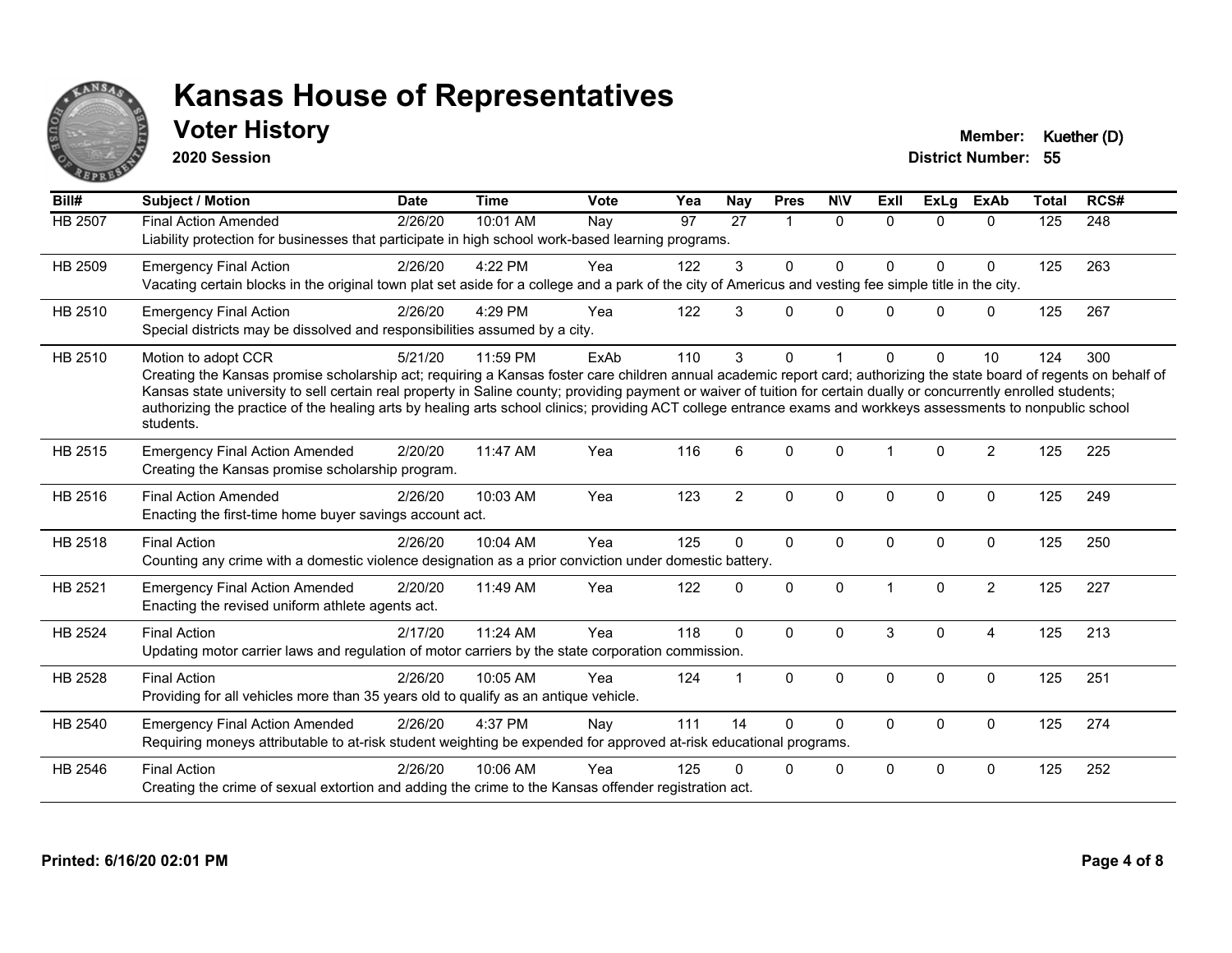

## **Voter History Member: Kuether (D)**

**2020 Session**

| Bill#   | <b>Subject / Motion</b>                                                                                                                                                                                                                                                                                                                                                                                                                                                                                                                             | <b>Date</b> | <b>Time</b> | <b>Vote</b> | Yea | Nay            | <b>Pres</b>    | <b>NIV</b>   | ExII         | <b>ExLg</b>  | <b>ExAb</b>    | <b>Total</b> | RCS# |
|---------|-----------------------------------------------------------------------------------------------------------------------------------------------------------------------------------------------------------------------------------------------------------------------------------------------------------------------------------------------------------------------------------------------------------------------------------------------------------------------------------------------------------------------------------------------------|-------------|-------------|-------------|-----|----------------|----------------|--------------|--------------|--------------|----------------|--------------|------|
| HB 2507 | <b>Final Action Amended</b><br>Liability protection for businesses that participate in high school work-based learning programs.                                                                                                                                                                                                                                                                                                                                                                                                                    | 2/26/20     | 10:01 AM    | Nay         | 97  | 27             | $\overline{1}$ | $\mathbf{0}$ | $\Omega$     | $\Omega$     | $\Omega$       | 125          | 248  |
| HB 2509 | <b>Emergency Final Action</b><br>Vacating certain blocks in the original town plat set aside for a college and a park of the city of Americus and vesting fee simple title in the city.                                                                                                                                                                                                                                                                                                                                                             | 2/26/20     | 4:22 PM     | Yea         | 122 | 3              | $\Omega$       | $\Omega$     | <sup>0</sup> | $\Omega$     | 0              | 125          | 263  |
| HB 2510 | <b>Emergency Final Action</b><br>Special districts may be dissolved and responsibilities assumed by a city.                                                                                                                                                                                                                                                                                                                                                                                                                                         | 2/26/20     | 4:29 PM     | Yea         | 122 | 3              | 0              | $\mathbf{0}$ | U            | $\mathbf{0}$ | $\mathbf 0$    | 125          | 267  |
| HB 2510 | Motion to adopt CCR<br>Creating the Kansas promise scholarship act; requiring a Kansas foster care children annual academic report card; authorizing the state board of regents on behalf of<br>Kansas state university to sell certain real property in Saline county; providing payment or waiver of tuition for certain dually or concurrently enrolled students;<br>authorizing the practice of the healing arts by healing arts school clinics; providing ACT college entrance exams and workkeys assessments to nonpublic school<br>students. | 5/21/20     | 11:59 PM    | ExAb        | 110 | 3              | 0              |              |              | $\Omega$     | 10             | 124          | 300  |
| HB 2515 | <b>Emergency Final Action Amended</b><br>Creating the Kansas promise scholarship program.                                                                                                                                                                                                                                                                                                                                                                                                                                                           | 2/20/20     | 11:47 AM    | Yea         | 116 | 6              | $\Omega$       | $\mathbf{0}$ |              | $\Omega$     | $\overline{2}$ | 125          | 225  |
| HB 2516 | <b>Final Action Amended</b><br>Enacting the first-time home buyer savings account act.                                                                                                                                                                                                                                                                                                                                                                                                                                                              | 2/26/20     | 10:03 AM    | Yea         | 123 | $\overline{2}$ | $\mathbf 0$    | 0            | $\Omega$     | $\mathbf 0$  | $\mathbf 0$    | 125          | 249  |
| HB 2518 | <b>Final Action</b><br>Counting any crime with a domestic violence designation as a prior conviction under domestic battery.                                                                                                                                                                                                                                                                                                                                                                                                                        | 2/26/20     | 10:04 AM    | Yea         | 125 | $\Omega$       | $\mathbf{0}$   | 0            | $\Omega$     | $\mathbf 0$  | $\mathbf 0$    | 125          | 250  |
| HB 2521 | <b>Emergency Final Action Amended</b><br>Enacting the revised uniform athlete agents act.                                                                                                                                                                                                                                                                                                                                                                                                                                                           | 2/20/20     | 11:49 AM    | Yea         | 122 | 0              | $\mathbf 0$    | 0            |              | $\mathbf 0$  | $\overline{2}$ | 125          | 227  |
| HB 2524 | <b>Final Action</b><br>Updating motor carrier laws and regulation of motor carriers by the state corporation commission.                                                                                                                                                                                                                                                                                                                                                                                                                            | 2/17/20     | 11:24 AM    | Yea         | 118 | $\Omega$       | $\Omega$       | $\Omega$     | 3            | $\Omega$     | 4              | 125          | 213  |
| HB 2528 | <b>Final Action</b><br>Providing for all vehicles more than 35 years old to qualify as an antique vehicle.                                                                                                                                                                                                                                                                                                                                                                                                                                          | 2/26/20     | 10:05 AM    | Yea         | 124 |                | $\Omega$       | $\mathbf{0}$ | $\Omega$     | $\mathbf{0}$ | $\Omega$       | 125          | 251  |
| HB 2540 | <b>Emergency Final Action Amended</b><br>Requiring moneys attributable to at-risk student weighting be expended for approved at-risk educational programs.                                                                                                                                                                                                                                                                                                                                                                                          | 2/26/20     | 4:37 PM     | Nay         | 111 | 14             | 0              | $\Omega$     | 0            | $\mathbf 0$  | $\mathbf 0$    | 125          | 274  |
| HB 2546 | <b>Final Action</b><br>Creating the crime of sexual extortion and adding the crime to the Kansas offender registration act.                                                                                                                                                                                                                                                                                                                                                                                                                         | 2/26/20     | 10:06 AM    | Yea         | 125 | U              | 0              | 0            | $\Omega$     | 0            | $\mathbf 0$    | 125          | 252  |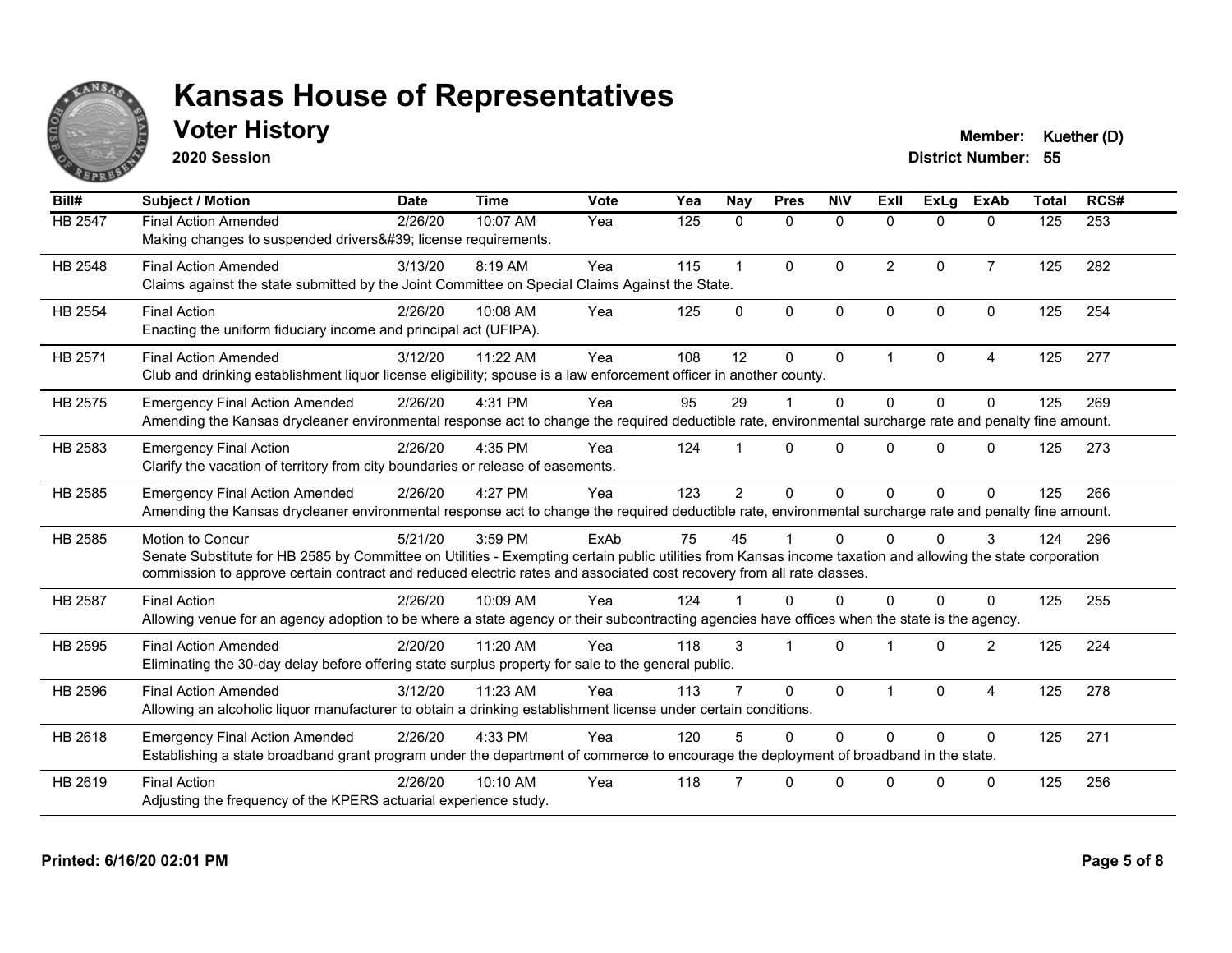

## **Voter History Member: Kuether (D)**

**2020 Session**

| Bill#          | <b>Subject / Motion</b>                                                                                                                                                                                                                                                                                         | <b>Date</b> | <b>Time</b> | Vote | Yea | Nay            | <b>Pres</b>  | <b>NIV</b>   | ExII           | <b>ExLa</b> | <b>ExAb</b>    | <b>Total</b> | RCS# |
|----------------|-----------------------------------------------------------------------------------------------------------------------------------------------------------------------------------------------------------------------------------------------------------------------------------------------------------------|-------------|-------------|------|-----|----------------|--------------|--------------|----------------|-------------|----------------|--------------|------|
| HB 2547        | <b>Final Action Amended</b><br>Making changes to suspended drivers' license requirements.                                                                                                                                                                                                                       | 2/26/20     | 10:07 AM    | Yea  | 125 | $\mathbf{0}$   | $\mathbf{0}$ | $\mathbf{0}$ | $\Omega$       | $\Omega$    | 0              | 125          | 253  |
| HB 2548        | <b>Final Action Amended</b><br>Claims against the state submitted by the Joint Committee on Special Claims Against the State.                                                                                                                                                                                   | 3/13/20     | 8:19 AM     | Yea  | 115 |                | $\Omega$     | $\Omega$     | $\overline{2}$ | $\Omega$    | $\overline{7}$ | 125          | 282  |
| <b>HB 2554</b> | <b>Final Action</b><br>Enacting the uniform fiduciary income and principal act (UFIPA).                                                                                                                                                                                                                         | 2/26/20     | 10:08 AM    | Yea  | 125 | $\Omega$       | $\Omega$     | $\mathbf{0}$ | $\Omega$       | $\Omega$    | $\mathbf{0}$   | 125          | 254  |
| HB 2571        | <b>Final Action Amended</b><br>Club and drinking establishment liquor license eligibility; spouse is a law enforcement officer in another county.                                                                                                                                                               | 3/12/20     | 11:22 AM    | Yea  | 108 | 12             | $\Omega$     | $\mathbf{0}$ | 1              | $\Omega$    | 4              | 125          | 277  |
| HB 2575        | <b>Emergency Final Action Amended</b><br>Amending the Kansas drycleaner environmental response act to change the required deductible rate, environmental surcharge rate and penalty fine amount.                                                                                                                | 2/26/20     | 4:31 PM     | Yea  | 95  | 29             |              | $\Omega$     | $\Omega$       | $\Omega$    | $\Omega$       | 125          | 269  |
| HB 2583        | <b>Emergency Final Action</b><br>Clarify the vacation of territory from city boundaries or release of easements.                                                                                                                                                                                                | 2/26/20     | 4:35 PM     | Yea  | 124 |                | $\Omega$     | $\Omega$     | 0              | $\Omega$    | 0              | 125          | 273  |
| HB 2585        | <b>Emergency Final Action Amended</b><br>Amending the Kansas drycleaner environmental response act to change the required deductible rate, environmental surcharge rate and penalty fine amount.                                                                                                                | 2/26/20     | 4:27 PM     | Yea  | 123 | $\overline{2}$ | $\Omega$     | $\Omega$     | $\Omega$       | $\Omega$    | $\Omega$       | 125          | 266  |
| HB 2585        | <b>Motion to Concur</b><br>Senate Substitute for HB 2585 by Committee on Utilities - Exempting certain public utilities from Kansas income taxation and allowing the state corporation<br>commission to approve certain contract and reduced electric rates and associated cost recovery from all rate classes. | 5/21/20     | 3:59 PM     | ExAb | 75  | 45             |              | $\Omega$     | 0              | 0           | 3              | 124          | 296  |
| <b>HB 2587</b> | <b>Final Action</b><br>Allowing venue for an agency adoption to be where a state agency or their subcontracting agencies have offices when the state is the agency.                                                                                                                                             | 2/26/20     | 10:09 AM    | Yea  | 124 |                | <sup>0</sup> | $\Omega$     | 0              | 0           | $\Omega$       | 125          | 255  |
| HB 2595        | <b>Final Action Amended</b><br>Eliminating the 30-day delay before offering state surplus property for sale to the general public.                                                                                                                                                                              | 2/20/20     | 11:20 AM    | Yea  | 118 | 3              |              | $\Omega$     |                | $\Omega$    | $\overline{2}$ | 125          | 224  |
| HB 2596        | <b>Final Action Amended</b><br>Allowing an alcoholic liquor manufacturer to obtain a drinking establishment license under certain conditions.                                                                                                                                                                   | 3/12/20     | 11:23 AM    | Yea  | 113 |                | $\Omega$     | $\mathbf{0}$ | -1             | $\Omega$    | 4              | 125          | 278  |
| HB 2618        | <b>Emergency Final Action Amended</b><br>Establishing a state broadband grant program under the department of commerce to encourage the deployment of broadband in the state.                                                                                                                                   | 2/26/20     | 4:33 PM     | Yea  | 120 |                | $\Omega$     | $\Omega$     | $\Omega$       | $\Omega$    | $\Omega$       | 125          | 271  |
| HB 2619        | <b>Final Action</b><br>Adjusting the frequency of the KPERS actuarial experience study.                                                                                                                                                                                                                         | 2/26/20     | 10:10 AM    | Yea  | 118 |                | $\Omega$     | $\Omega$     | <sup>n</sup>   | O           | $\Omega$       | 125          | 256  |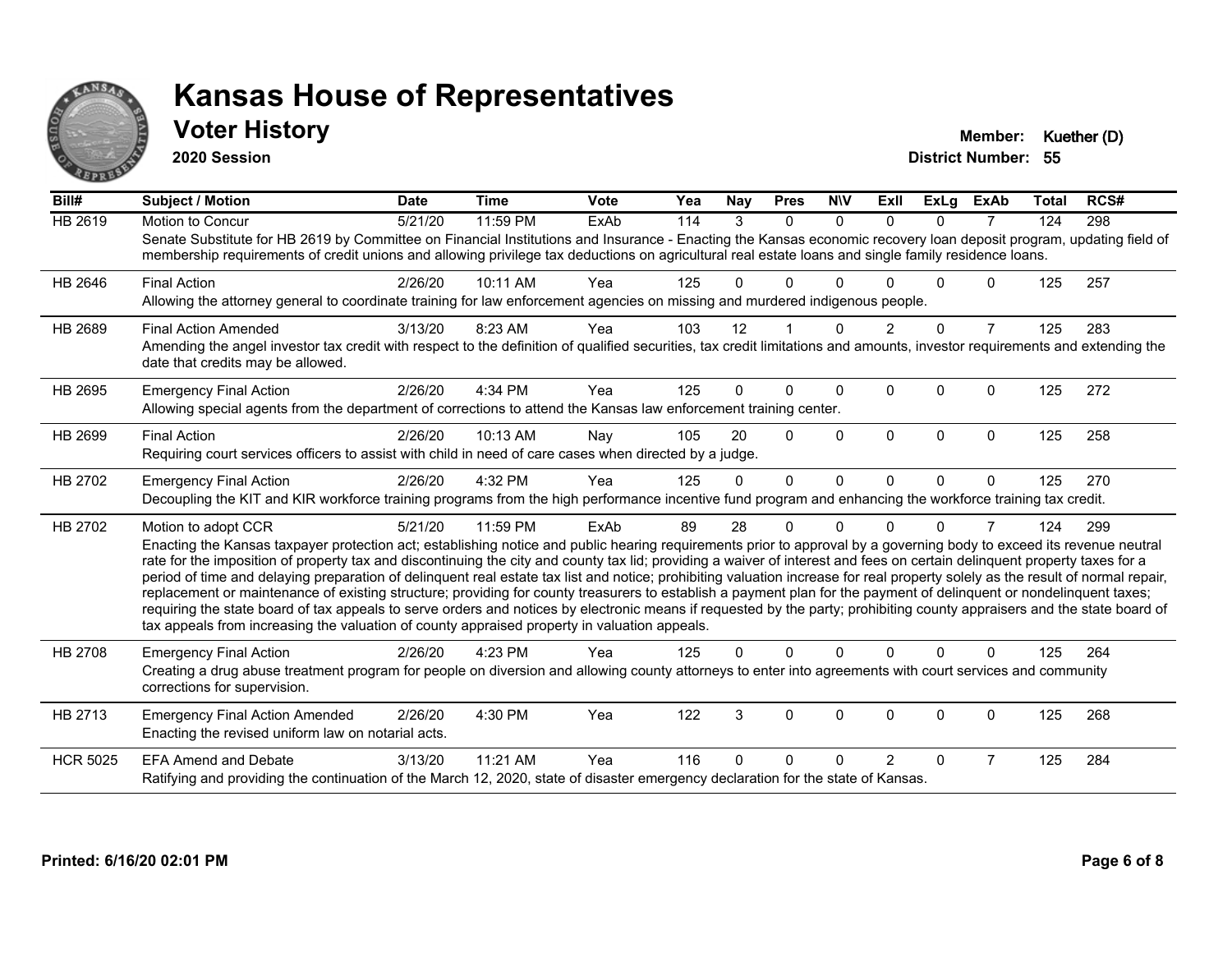

#### **Voter History Member: Kuether (D)**

**2020 Session**

| Bill#           | Subject / Motion                                                                                                                                                                                                                                                                                                                                                                                                                                                                                                                                                                                                                                                                                                                                                                                                                                                                                                                                                                                              | <b>Date</b> | <b>Time</b> | <b>Vote</b> | Yea | Nav      | <b>Pres</b>    | <b>NIV</b>   | ExII           | ExLg     | <b>ExAb</b>    | <b>Total</b> | RCS# |
|-----------------|---------------------------------------------------------------------------------------------------------------------------------------------------------------------------------------------------------------------------------------------------------------------------------------------------------------------------------------------------------------------------------------------------------------------------------------------------------------------------------------------------------------------------------------------------------------------------------------------------------------------------------------------------------------------------------------------------------------------------------------------------------------------------------------------------------------------------------------------------------------------------------------------------------------------------------------------------------------------------------------------------------------|-------------|-------------|-------------|-----|----------|----------------|--------------|----------------|----------|----------------|--------------|------|
| <b>HB 2619</b>  | <b>Motion to Concur</b><br>Senate Substitute for HB 2619 by Committee on Financial Institutions and Insurance - Enacting the Kansas economic recovery loan deposit program, updating field of<br>membership requirements of credit unions and allowing privilege tax deductions on agricultural real estate loans and single family residence loans.                                                                                                                                                                                                                                                                                                                                                                                                                                                                                                                                                                                                                                                          | 5/21/20     | 11:59 PM    | ExAb        | 114 | 3        | $\Omega$       | $\Omega$     | $\Omega$       | $\Omega$ | $\overline{7}$ | 124          | 298  |
| HB 2646         | <b>Final Action</b><br>Allowing the attorney general to coordinate training for law enforcement agencies on missing and murdered indigenous people.                                                                                                                                                                                                                                                                                                                                                                                                                                                                                                                                                                                                                                                                                                                                                                                                                                                           | 2/26/20     | 10:11 AM    | Yea         | 125 | 0        | 0              | n            |                | 0        | 0              | 125          | 257  |
| HB 2689         | <b>Final Action Amended</b><br>Amending the angel investor tax credit with respect to the definition of qualified securities, tax credit limitations and amounts, investor requirements and extending the<br>date that credits may be allowed.                                                                                                                                                                                                                                                                                                                                                                                                                                                                                                                                                                                                                                                                                                                                                                | 3/13/20     | 8:23 AM     | Yea         | 103 | 12       |                | $\Omega$     | $\overline{2}$ | $\Omega$ | $\overline{7}$ | 125          | 283  |
| HB 2695         | <b>Emergency Final Action</b><br>Allowing special agents from the department of corrections to attend the Kansas law enforcement training center.                                                                                                                                                                                                                                                                                                                                                                                                                                                                                                                                                                                                                                                                                                                                                                                                                                                             | 2/26/20     | 4:34 PM     | Yea         | 125 | 0        | 0              | $\Omega$     | $\Omega$       | $\Omega$ | 0              | 125          | 272  |
| HB 2699         | <b>Final Action</b><br>Requiring court services officers to assist with child in need of care cases when directed by a judge.                                                                                                                                                                                                                                                                                                                                                                                                                                                                                                                                                                                                                                                                                                                                                                                                                                                                                 | 2/26/20     | 10:13 AM    | Nay         | 105 | 20       | $\Omega$       | $\Omega$     | $\Omega$       | $\Omega$ | 0              | 125          | 258  |
| HB 2702         | <b>Emergency Final Action</b><br>Decoupling the KIT and KIR workforce training programs from the high performance incentive fund program and enhancing the workforce training tax credit.                                                                                                                                                                                                                                                                                                                                                                                                                                                                                                                                                                                                                                                                                                                                                                                                                     | 2/26/20     | 4:32 PM     | Yea         | 125 | $\Omega$ | $\overline{0}$ | $\mathbf{0}$ | $\Omega$       | $\Omega$ | $\mathbf{0}$   | 125          | 270  |
| HB 2702         | Motion to adopt CCR<br>Enacting the Kansas taxpayer protection act; establishing notice and public hearing requirements prior to approval by a governing body to exceed its revenue neutral<br>rate for the imposition of property tax and discontinuing the city and county tax lid; providing a waiver of interest and fees on certain delinquent property taxes for a<br>period of time and delaying preparation of delinquent real estate tax list and notice; prohibiting valuation increase for real property solely as the result of normal repair,<br>replacement or maintenance of existing structure; providing for county treasurers to establish a payment plan for the payment of delinquent or nondelinquent taxes;<br>requiring the state board of tax appeals to serve orders and notices by electronic means if requested by the party; prohibiting county appraisers and the state board of<br>tax appeals from increasing the valuation of county appraised property in valuation appeals. | 5/21/20     | 11:59 PM    | ExAb        | 89  | 28       | 0              | $\Omega$     | n              | $\Omega$ | 7              | 124          | 299  |
| HB 2708         | <b>Emergency Final Action</b><br>Creating a drug abuse treatment program for people on diversion and allowing county attorneys to enter into agreements with court services and community<br>corrections for supervision.                                                                                                                                                                                                                                                                                                                                                                                                                                                                                                                                                                                                                                                                                                                                                                                     | 2/26/20     | 4:23 PM     | Yea         | 125 | 0        | $\Omega$       | $\Omega$     | $\Omega$       | $\Omega$ | $\Omega$       | 125          | 264  |
| HB 2713         | <b>Emergency Final Action Amended</b><br>Enacting the revised uniform law on notarial acts.                                                                                                                                                                                                                                                                                                                                                                                                                                                                                                                                                                                                                                                                                                                                                                                                                                                                                                                   | 2/26/20     | 4:30 PM     | Yea         | 122 | 3        | 0              | 0            | $\Omega$       | $\Omega$ | 0              | 125          | 268  |
| <b>HCR 5025</b> | <b>EFA Amend and Debate</b><br>Ratifying and providing the continuation of the March 12, 2020, state of disaster emergency declaration for the state of Kansas.                                                                                                                                                                                                                                                                                                                                                                                                                                                                                                                                                                                                                                                                                                                                                                                                                                               | 3/13/20     | 11:21 AM    | Yea         | 116 | 0        | 0              | n            | $\overline{2}$ | $\Omega$ | 7              | 125          | 284  |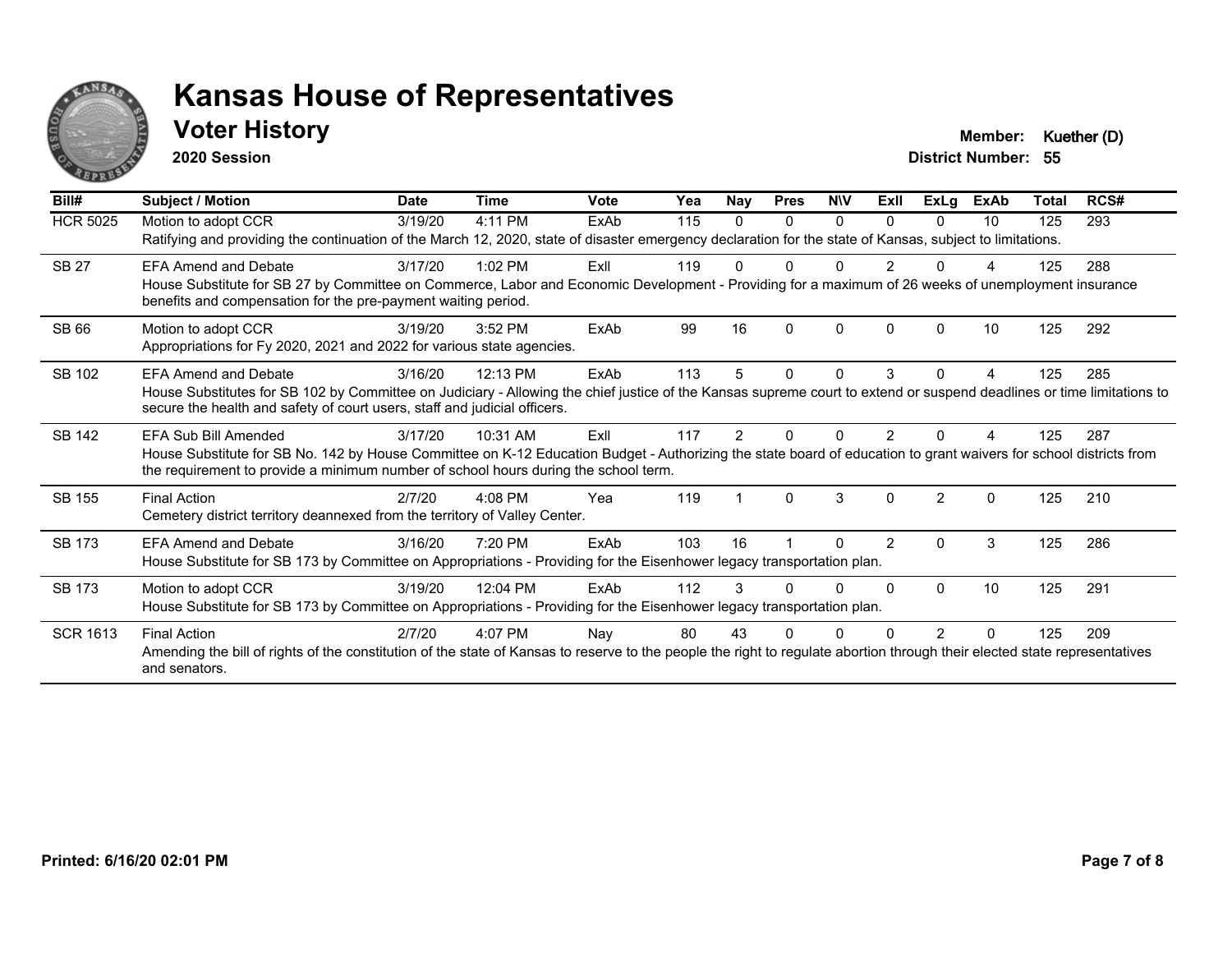

#### **Voter History Member: Kuether (D)**

**2020 Session**

| Bill#           | Subject / Motion                                                                                                                                                                                                                                         | <b>Date</b> | <b>Time</b> | Vote        | Yea | Nay           | <b>Pres</b> | <b>NIV</b> | ExII          | ExLg           | <b>ExAb</b> | Total | RCS# |
|-----------------|----------------------------------------------------------------------------------------------------------------------------------------------------------------------------------------------------------------------------------------------------------|-------------|-------------|-------------|-----|---------------|-------------|------------|---------------|----------------|-------------|-------|------|
| <b>HCR 5025</b> | Motion to adopt CCR                                                                                                                                                                                                                                      | 3/19/20     | 4:11 PM     | ExAb        | 115 | 0             | $\Omega$    | $\Omega$   | 0             | 0              | 10          | 125   | 293  |
|                 | Ratifying and providing the continuation of the March 12, 2020, state of disaster emergency declaration for the state of Kansas, subject to limitations.                                                                                                 |             |             |             |     |               |             |            |               |                |             |       |      |
| <b>SB 27</b>    | <b>EFA Amend and Debate</b>                                                                                                                                                                                                                              | 3/17/20     | $1:02$ PM   | ExII        | 119 |               | U           |            | 2             |                |             | 125   | 288  |
|                 | House Substitute for SB 27 by Committee on Commerce, Labor and Economic Development - Providing for a maximum of 26 weeks of unemployment insurance<br>benefits and compensation for the pre-payment waiting period.                                     |             |             |             |     |               |             |            |               |                |             |       |      |
| <b>SB 66</b>    | Motion to adopt CCR                                                                                                                                                                                                                                      | 3/19/20     | 3:52 PM     | <b>FxAb</b> | 99  | 16            | $\Omega$    | $\Omega$   | $\Omega$      |                | 10          | 125   | 292  |
|                 | Appropriations for Fy 2020, 2021 and 2022 for various state agencies.                                                                                                                                                                                    |             |             |             |     |               |             |            |               |                |             |       |      |
| SB 102          | <b>EFA Amend and Debate</b>                                                                                                                                                                                                                              | 3/16/20     | 12:13 PM    | ExAb        | 113 | 5             | $\Omega$    | $\Omega$   | 3             | $\Omega$       | 4           | 125   | 285  |
|                 | House Substitutes for SB 102 by Committee on Judiciary - Allowing the chief justice of the Kansas supreme court to extend or suspend deadlines or time limitations to<br>secure the health and safety of court users, staff and judicial officers.       |             |             |             |     |               |             |            |               |                |             |       |      |
| <b>SB 142</b>   | EFA Sub Bill Amended                                                                                                                                                                                                                                     | 3/17/20     | 10:31 AM    | ExII        | 117 | $\mathcal{P}$ | n           |            |               |                |             | 125   | 287  |
|                 | House Substitute for SB No. 142 by House Committee on K-12 Education Budget - Authorizing the state board of education to grant waivers for school districts from<br>the requirement to provide a minimum number of school hours during the school term. |             |             |             |     |               |             |            |               |                |             |       |      |
| <b>SB 155</b>   | <b>Final Action</b>                                                                                                                                                                                                                                      | 2/7/20      | 4:08 PM     | Yea         | 119 |               | $\Omega$    | 3          | $\Omega$      | $\mathfrak{p}$ | $\Omega$    | 125   | 210  |
|                 | Cemetery district territory deannexed from the territory of Valley Center.                                                                                                                                                                               |             |             |             |     |               |             |            |               |                |             |       |      |
| <b>SB 173</b>   | <b>EFA Amend and Debate</b>                                                                                                                                                                                                                              | 3/16/20     | 7:20 PM     | ExAb        | 103 | 16            |             | 0          | $\mathcal{P}$ | $\Omega$       | 3           | 125   | 286  |
|                 | House Substitute for SB 173 by Committee on Appropriations - Providing for the Eisenhower legacy transportation plan.                                                                                                                                    |             |             |             |     |               |             |            |               |                |             |       |      |
| <b>SB 173</b>   | Motion to adopt CCR                                                                                                                                                                                                                                      | 3/19/20     | 12:04 PM    | ExAb        | 112 |               |             | 0          | $\Omega$      | $\Omega$       | 10          | 125   | 291  |
|                 | House Substitute for SB 173 by Committee on Appropriations - Providing for the Eisenhower legacy transportation plan.                                                                                                                                    |             |             |             |     |               |             |            |               |                |             |       |      |
| <b>SCR 1613</b> | <b>Final Action</b>                                                                                                                                                                                                                                      | 2/7/20      | 4:07 PM     | Nay         | 80  | 43            | ŋ           |            |               | 2              | $\Omega$    | 125   | 209  |
|                 | Amending the bill of rights of the constitution of the state of Kansas to reserve to the people the right to regulate abortion through their elected state representatives<br>and senators.                                                              |             |             |             |     |               |             |            |               |                |             |       |      |